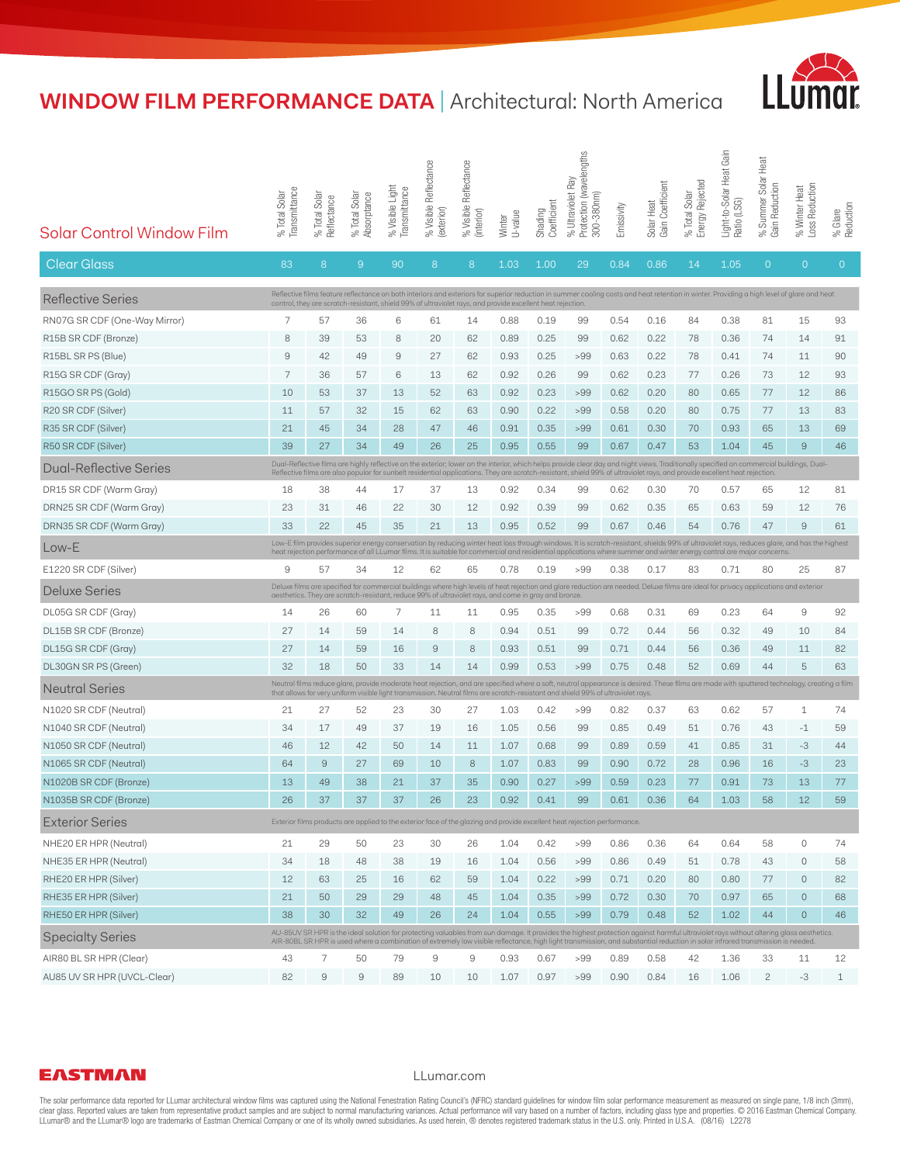## **WINDOW FILM PERFORMANCE DATA** | Architectural: North America



| <b>Solar Control Window Film</b> | Transmittance<br>% Total Solar                                                                                                                                                                                                                                                                                                                                         | % Total Solar<br>Reflectance | % Total Solar<br>Absorptance | % Visible Light<br>Transmittance | % Visible Reflectance<br>(exterior)                                                                        | % Visible Reflectance<br>(interior) | U-value<br>Winter | Shading<br>Coefficient | Protection (wavelengths<br>% Ultraviolet Ray<br>300-380nm)                                                                                                                                                                                                                                                                                                              | Emissivity | Gain Coefficient<br>Solar Heat | Energy Rejected<br>% Total Solar | Light-to-Solar Heat Gain<br>Ratio (LSG) | Summer Solar Heat<br>Gain Reduction<br>$\%$ | Loss Reduction<br>% Winter Heat | % Glare<br>Reduction |
|----------------------------------|------------------------------------------------------------------------------------------------------------------------------------------------------------------------------------------------------------------------------------------------------------------------------------------------------------------------------------------------------------------------|------------------------------|------------------------------|----------------------------------|------------------------------------------------------------------------------------------------------------|-------------------------------------|-------------------|------------------------|-------------------------------------------------------------------------------------------------------------------------------------------------------------------------------------------------------------------------------------------------------------------------------------------------------------------------------------------------------------------------|------------|--------------------------------|----------------------------------|-----------------------------------------|---------------------------------------------|---------------------------------|----------------------|
| <b>Clear Glass</b>               | 83                                                                                                                                                                                                                                                                                                                                                                     | 8                            | $\overline{9}$               | 90                               | 8                                                                                                          | 8                                   | 1.03              | 1.00                   | 29                                                                                                                                                                                                                                                                                                                                                                      | 0.84       | 0.86                           | 14                               | 1.05                                    | $\overline{0}$                              | $\overline{0}$                  | $\overline{0}$       |
| <b>Reflective Series</b>         |                                                                                                                                                                                                                                                                                                                                                                        |                              |                              |                                  | control, they are scratch-resistant, shield 99% of ultraviolet rays, and provide excellent heat rejection. |                                     |                   |                        | Reflective films feature reflectance on both interiors and exteriors for superior reduction in summer cooling costs and heat retention in winter. Providing a high level of glare and heat                                                                                                                                                                              |            |                                |                                  |                                         |                                             |                                 |                      |
| RN07G SR CDF (One-Way Mirror)    | 7                                                                                                                                                                                                                                                                                                                                                                      | 57                           | 36                           | 6                                | 61                                                                                                         | 14                                  | 0.88              | 0.19                   | 99                                                                                                                                                                                                                                                                                                                                                                      | 0.54       | 0.16                           | 84                               | 0.38                                    | 81                                          | 15                              | 93                   |
| R15B SR CDF (Bronze)             | 8                                                                                                                                                                                                                                                                                                                                                                      | 39                           | 53                           | 8                                | 20                                                                                                         | 62                                  | 0.89              | 0.25                   | 99                                                                                                                                                                                                                                                                                                                                                                      | 0.62       | 0.22                           | 78                               | 0.36                                    | 74                                          | 14                              | 91                   |
| R15BL SR PS (Blue)               | $\hbox{ }^{\rm 9}$                                                                                                                                                                                                                                                                                                                                                     | 42                           | 49                           | 9                                | 27                                                                                                         | 62                                  | 0.93              | 0.25                   | >99                                                                                                                                                                                                                                                                                                                                                                     | 0.63       | 0.22                           | 78                               | 0.41                                    | 74                                          | 11                              | 90                   |
| R15G SR CDF (Gray)               | $\overline{7}$                                                                                                                                                                                                                                                                                                                                                         | 36                           | 57                           | 6                                | 13                                                                                                         | 62                                  | 0.92              | 0.26                   | 99                                                                                                                                                                                                                                                                                                                                                                      | 0.62       | 0.23                           | 77                               | 0.26                                    | 73                                          | 12                              | 93                   |
| R15GO SR PS (Gold)               | 10                                                                                                                                                                                                                                                                                                                                                                     | 53                           | 37                           | 13                               | 52                                                                                                         | 63                                  | 0.92              | 0.23                   | >99                                                                                                                                                                                                                                                                                                                                                                     | 0.62       | 0.20                           | 80                               | 0.65                                    | 77                                          | 12                              | 86                   |
| R20 SR CDF (Silver)              | 11                                                                                                                                                                                                                                                                                                                                                                     | 57                           | 32                           | 15                               | 62                                                                                                         | 63                                  | 0.90              | 0.22                   | >99                                                                                                                                                                                                                                                                                                                                                                     | 0.58       | 0.20                           | 80                               | 0.75                                    | 77                                          | 13                              | 83                   |
| R35 SR CDF (Silver)              | 21                                                                                                                                                                                                                                                                                                                                                                     | 45                           | 34                           | 28                               | 47                                                                                                         | 46                                  | 0.91              | 0.35                   | >99                                                                                                                                                                                                                                                                                                                                                                     | 0.61       | 0.30                           | 70                               | 0.93                                    | 65                                          | 13                              | 69                   |
| R50 SR CDF (Silver)              | 39                                                                                                                                                                                                                                                                                                                                                                     | 27                           | 34                           | 49                               | 26                                                                                                         | 25                                  | 0.95              | 0.55                   | 99                                                                                                                                                                                                                                                                                                                                                                      | 0.67       | 0.47                           | 53                               | 1.04                                    | 45                                          | $\overline{9}$                  | 46                   |
| <b>Dual-Reflective Series</b>    | Dual-Reflective films are highly reflective on the exterior; lower on the interior, which helps provide clear day and night views. Traditionally specified on commercial buildings, Dual-<br>Reflective films are also popular for sunbelt residential applications. They are scratch-resistant, shield 99% of ultraviolet rays, and provide excellent heat rejection. |                              |                              |                                  |                                                                                                            |                                     |                   |                        |                                                                                                                                                                                                                                                                                                                                                                         |            |                                |                                  |                                         |                                             |                                 |                      |
| DR15 SR CDF (Warm Gray)          | 18                                                                                                                                                                                                                                                                                                                                                                     | 38                           | 44                           | 17                               | 37                                                                                                         | 13                                  | 0.92              | 0.34                   | 99                                                                                                                                                                                                                                                                                                                                                                      | 0.62       | 0.30                           | 70                               | 0.57                                    | 65                                          | 12                              | 81                   |
| DRN25 SR CDF (Warm Gray)         | 23                                                                                                                                                                                                                                                                                                                                                                     | 31                           | 46                           | 22                               | 30                                                                                                         | 12                                  | 0.92              | 0.39                   | 99                                                                                                                                                                                                                                                                                                                                                                      | 0.62       | 0.35                           | 65                               | 0.63                                    | 59                                          | 12                              | 76                   |
| DRN35 SR CDF (Warm Gray)         | 33                                                                                                                                                                                                                                                                                                                                                                     | 22                           | 45                           | 35                               | 21                                                                                                         | 13                                  | 0.95              | 0.52                   | 99                                                                                                                                                                                                                                                                                                                                                                      | 0.67       | 0.46                           | 54                               | 0.76                                    | 47                                          | $\overline{9}$                  | 61                   |
| Low-E                            |                                                                                                                                                                                                                                                                                                                                                                        |                              |                              |                                  |                                                                                                            |                                     |                   |                        | Low-E film provides superior energy conservation by reducing winter heat loss through windows. It is scratch-resistant, shields 99% of ultraviolet rays, reduces glare, and has the highest<br>heat rejection performance of all LLumar films. It is suitable for commercial and residential applications where summer and winter energy control are major concerns     |            |                                |                                  |                                         |                                             |                                 |                      |
| E1220 SR CDF (Silver)            | 9                                                                                                                                                                                                                                                                                                                                                                      | 57                           | 34                           | 12                               | 62                                                                                                         | 65                                  | 0.78              | 0.19                   | >99                                                                                                                                                                                                                                                                                                                                                                     | 0.38       | 0.17                           | 83                               | 0.71                                    | 80                                          | 25                              | 87                   |
| <b>Deluxe Series</b>             |                                                                                                                                                                                                                                                                                                                                                                        |                              |                              |                                  | aesthetics. They are scratch-resistant, reduce 99% of ultraviolet rays, and come in gray and bronze.       |                                     |                   |                        | Deluxe films are specified for commercial buildings where high levels of heat rejection and glare reduction are needed. Deluxe films are ideal for privacy applications and exterior                                                                                                                                                                                    |            |                                |                                  |                                         |                                             |                                 |                      |
| DL05G SR CDF (Gray)              | 14                                                                                                                                                                                                                                                                                                                                                                     | 26                           | 60                           | 7                                | 11                                                                                                         | 11                                  | 0.95              | 0.35                   | >99                                                                                                                                                                                                                                                                                                                                                                     | 0.68       | 0.31                           | 69                               | 0.23                                    | 64                                          | $\Theta$                        | 92                   |
| DL15B SR CDF (Bronze)            | 27                                                                                                                                                                                                                                                                                                                                                                     | 14                           | 59                           | 14                               | 8                                                                                                          | 8                                   | 0.94              | 0.51                   | 99                                                                                                                                                                                                                                                                                                                                                                      | 0.72       | 0.44                           | 56                               | 0.32                                    | 49                                          | 10                              | 84                   |
| DL15G SR CDF (Gray)              | 27                                                                                                                                                                                                                                                                                                                                                                     | 14                           | 59                           | 16                               | $\Theta$                                                                                                   | 8                                   | 0.93              | 0.51                   | 99                                                                                                                                                                                                                                                                                                                                                                      | 0.71       | 0.44                           | 56                               | 0.36                                    | 49                                          | 11                              | 82                   |
| DL30GN SR PS (Green)             | 32                                                                                                                                                                                                                                                                                                                                                                     | 18                           | 50                           | 33                               | 14                                                                                                         | 14                                  | 0.99              | 0.53                   | >99                                                                                                                                                                                                                                                                                                                                                                     | 0.75       | 0.48                           | 52                               | 0.69                                    | 44                                          | 5                               | 63                   |
| <b>Neutral Series</b>            |                                                                                                                                                                                                                                                                                                                                                                        |                              |                              |                                  |                                                                                                            |                                     |                   |                        | Neutral films reduce glare, provide moderate heat rejection, and are specified where a soft, neutral appearance is desired. These films are made with sputtered technology, creating a film<br>that allows for very uniform visible light transmission. Neutral films are scratch-resistant and shield 99% of ultraviolet rays.                                         |            |                                |                                  |                                         |                                             |                                 |                      |
| N1020 SR CDF (Neutral)           | 21                                                                                                                                                                                                                                                                                                                                                                     | 27                           | 52                           | 23                               | 30                                                                                                         | 27                                  | 1.03              | 0.42                   | >99                                                                                                                                                                                                                                                                                                                                                                     | 0.82       | 0.37                           | 63                               | 0.62                                    | 57                                          | $\mathbf{1}$                    | 74                   |
| N1040 SR CDF (Neutral)           | 34                                                                                                                                                                                                                                                                                                                                                                     | 17                           | 49                           | 37                               | 19                                                                                                         | 16                                  | 1.05              | 0.56                   | 99                                                                                                                                                                                                                                                                                                                                                                      | 0.85       | 0.49                           | 51                               | 0.76                                    | 43                                          | $-1$                            | 59                   |
| N1050 SR CDF (Neutral)           | 46                                                                                                                                                                                                                                                                                                                                                                     | 12                           | 42                           | 50                               | 14                                                                                                         | 11                                  | 1.07              | 0.68                   | 99                                                                                                                                                                                                                                                                                                                                                                      | 0.89       | 0.59                           | 41                               | 0.85                                    | 31                                          | $-3$                            | 44                   |
| N1065 SR CDF (Neutral)           | 64                                                                                                                                                                                                                                                                                                                                                                     | 9                            | 27                           | 69                               | 10                                                                                                         | 8                                   | 1.07              | 0.83                   | 99                                                                                                                                                                                                                                                                                                                                                                      | 0.90       | 0.72                           | 28                               | 0.96                                    | 16                                          | $-3$                            | 23                   |
| N1020B SR CDF (Bronze)           | 13                                                                                                                                                                                                                                                                                                                                                                     | 49                           | 38                           | 21                               | 37                                                                                                         | 35                                  | 0.90              | 0.27                   | >99                                                                                                                                                                                                                                                                                                                                                                     | 0.59       | 0.23                           | 77                               | 0.91                                    | 73                                          | 13                              | 77                   |
| N1035B SR CDF (Bronze)           | 26                                                                                                                                                                                                                                                                                                                                                                     | 37                           | 37                           | 37                               | 26                                                                                                         | 23                                  | 0.92              | 0.41                   | 99                                                                                                                                                                                                                                                                                                                                                                      | 0.61       | 0.36                           | 64                               | 1.03                                    | 58                                          | 12                              | 59                   |
| <b>Exterior Series</b>           |                                                                                                                                                                                                                                                                                                                                                                        |                              |                              |                                  |                                                                                                            |                                     |                   |                        | Exterior films products are applied to the exterior face of the glazing and provide excellent heat rejection performance.                                                                                                                                                                                                                                               |            |                                |                                  |                                         |                                             |                                 |                      |
| NHE20 ER HPR (Neutral)           | 21                                                                                                                                                                                                                                                                                                                                                                     | 29                           | 50                           | 23                               | 30                                                                                                         | 26                                  | 1.04              | 0.42                   | >99                                                                                                                                                                                                                                                                                                                                                                     | 0.86       | 0.36                           | 64                               | 0.64                                    | 58                                          | $\circ$                         | 74                   |
| NHE35 ER HPR (Neutral)           | 34                                                                                                                                                                                                                                                                                                                                                                     | 18                           | 48                           | 38                               | 19                                                                                                         | 16                                  | 1.04              | 0.56                   | >99                                                                                                                                                                                                                                                                                                                                                                     | 0.86       | 0.49                           | 51                               | 0.78                                    | 43                                          | $\mathbb O$                     | 58                   |
| RHE20 ER HPR (Silver)            | 12                                                                                                                                                                                                                                                                                                                                                                     | 63                           | 25                           | 16                               | 62                                                                                                         | 59                                  | 1.04              | 0.22                   | >99                                                                                                                                                                                                                                                                                                                                                                     | 0.71       | 0.20                           | 80                               | 0.80                                    | 77                                          | $\circ$                         | 82                   |
| RHE35 ER HPR (Silver)            | 21                                                                                                                                                                                                                                                                                                                                                                     | 50                           | 29                           | 29                               | 48                                                                                                         | 45                                  | 1.04              | 0.35                   | >99                                                                                                                                                                                                                                                                                                                                                                     | 0.72       | 0.30                           | 70                               | 0.97                                    | 65                                          | $\circ$                         | 68                   |
| RHE50 ER HPR (Silver)            | 38                                                                                                                                                                                                                                                                                                                                                                     | 30                           | 32                           | 49                               | 26                                                                                                         | 24                                  | 1.04              | 0.55                   | >99                                                                                                                                                                                                                                                                                                                                                                     | 0.79       | 0.48                           | 52                               | 1.02                                    | 44                                          | $\circ$                         | 46                   |
| <b>Specialty Series</b>          |                                                                                                                                                                                                                                                                                                                                                                        |                              |                              |                                  |                                                                                                            |                                     |                   |                        | AU-85UV SR HPR is the ideal solution for protecting valuables from sun damage. It provides the highest protection against harmful ultraviolet rays without altering glass aesthetics.<br>AIR-80BL SR HPR is used where a combination of extremely low visible reflectance, high light transmission, and substantial reduction in solar infrared transmission is needed. |            |                                |                                  |                                         |                                             |                                 |                      |
| AIR80 BL SR HPR (Clear)          | 43                                                                                                                                                                                                                                                                                                                                                                     | 7                            | 50                           | 79                               | 9                                                                                                          | 9                                   | 0.93              | 0.67                   | >99                                                                                                                                                                                                                                                                                                                                                                     | 0.89       | 0.58                           | 42                               | 1.36                                    | 33                                          | 11                              | 12                   |
| AU85 UV SR HPR (UVCL-Clear)      | 82                                                                                                                                                                                                                                                                                                                                                                     | $\mathcal{G}$                | $\Theta$                     | 89                               | 10                                                                                                         | 10                                  | 1.07              | 0.97                   | >99                                                                                                                                                                                                                                                                                                                                                                     | 0.90       | 0.84                           | 16                               | 1.06                                    | $\mathbf{2}$                                | $-3$                            | 1                    |

## **EASTMAN**

## LLumar.com

The solar performance data reported for LLumar architectural window films was captured using the National Fenestration Rating Council's (NFRC) standard guidelines for window film solar performance measurement as measured o